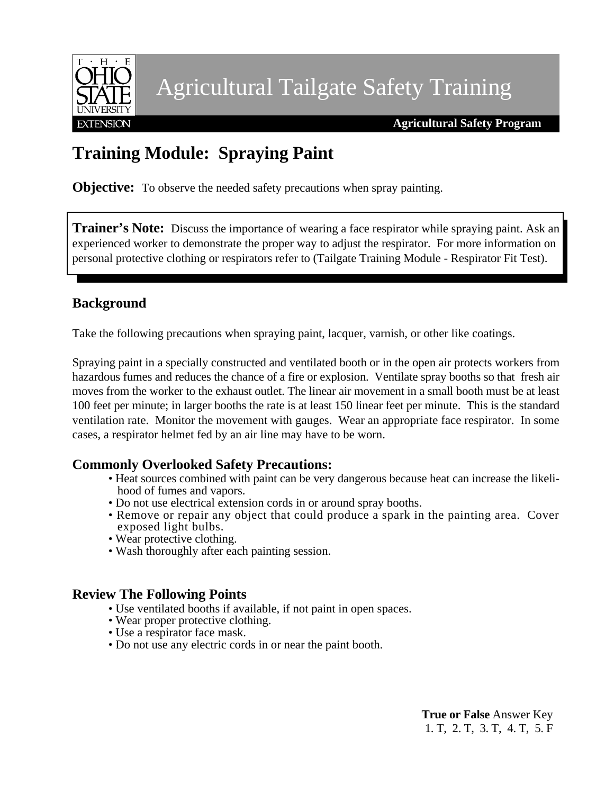

Agricultural Tailgate Safety Training

 **Agricultural Safety Program**

## **Training Module: Spraying Paint**

**Objective:** To observe the needed safety precautions when spray painting.

**Trainer's Note:** Discuss the importance of wearing a face respirator while spraying paint. Ask an experienced worker to demonstrate the proper way to adjust the respirator. For more information on personal protective clothing or respirators refer to (Tailgate Training Module - Respirator Fit Test).

### **Background**

Take the following precautions when spraying paint, lacquer, varnish, or other like coatings.

Spraying paint in a specially constructed and ventilated booth or in the open air protects workers from hazardous fumes and reduces the chance of a fire or explosion. Ventilate spray booths so that fresh air moves from the worker to the exhaust outlet. The linear air movement in a small booth must be at least 100 feet per minute; in larger booths the rate is at least 150 linear feet per minute. This is the standard ventilation rate. Monitor the movement with gauges. Wear an appropriate face respirator. In some cases, a respirator helmet fed by an air line may have to be worn.

#### **Commonly Overlooked Safety Precautions:**

- Heat sources combined with paint can be very dangerous because heat can increase the likelihood of fumes and vapors.
- Do not use electrical extension cords in or around spray booths.
- Remove or repair any object that could produce a spark in the painting area. Cover exposed light bulbs.
- Wear protective clothing.
- Wash thoroughly after each painting session.

#### **Review The Following Points**

- Use ventilated booths if available, if not paint in open spaces.
- Wear proper protective clothing.
- Use a respirator face mask.
- Do not use any electric cords in or near the paint booth.

**True or False** Answer Key 1. T, 2. T, 3. T, 4. T, 5. F